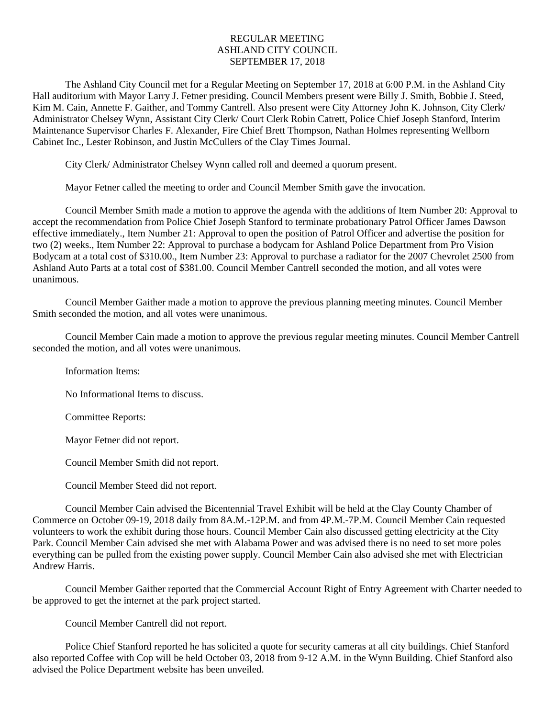# REGULAR MEETING ASHLAND CITY COUNCIL SEPTEMBER 17, 2018

The Ashland City Council met for a Regular Meeting on September 17, 2018 at 6:00 P.M. in the Ashland City Hall auditorium with Mayor Larry J. Fetner presiding. Council Members present were Billy J. Smith, Bobbie J. Steed, Kim M. Cain, Annette F. Gaither, and Tommy Cantrell. Also present were City Attorney John K. Johnson, City Clerk/ Administrator Chelsey Wynn, Assistant City Clerk/ Court Clerk Robin Catrett, Police Chief Joseph Stanford, Interim Maintenance Supervisor Charles F. Alexander, Fire Chief Brett Thompson, Nathan Holmes representing Wellborn Cabinet Inc., Lester Robinson, and Justin McCullers of the Clay Times Journal.

City Clerk/ Administrator Chelsey Wynn called roll and deemed a quorum present.

Mayor Fetner called the meeting to order and Council Member Smith gave the invocation.

Council Member Smith made a motion to approve the agenda with the additions of Item Number 20: Approval to accept the recommendation from Police Chief Joseph Stanford to terminate probationary Patrol Officer James Dawson effective immediately., Item Number 21: Approval to open the position of Patrol Officer and advertise the position for two (2) weeks., Item Number 22: Approval to purchase a bodycam for Ashland Police Department from Pro Vision Bodycam at a total cost of \$310.00., Item Number 23: Approval to purchase a radiator for the 2007 Chevrolet 2500 from Ashland Auto Parts at a total cost of \$381.00. Council Member Cantrell seconded the motion, and all votes were unanimous.

Council Member Gaither made a motion to approve the previous planning meeting minutes. Council Member Smith seconded the motion, and all votes were unanimous.

Council Member Cain made a motion to approve the previous regular meeting minutes. Council Member Cantrell seconded the motion, and all votes were unanimous.

Information Items:

No Informational Items to discuss.

Committee Reports:

Mayor Fetner did not report.

Council Member Smith did not report.

Council Member Steed did not report.

Council Member Cain advised the Bicentennial Travel Exhibit will be held at the Clay County Chamber of Commerce on October 09-19, 2018 daily from 8A.M.-12P.M. and from 4P.M.-7P.M. Council Member Cain requested volunteers to work the exhibit during those hours. Council Member Cain also discussed getting electricity at the City Park. Council Member Cain advised she met with Alabama Power and was advised there is no need to set more poles everything can be pulled from the existing power supply. Council Member Cain also advised she met with Electrician Andrew Harris.

Council Member Gaither reported that the Commercial Account Right of Entry Agreement with Charter needed to be approved to get the internet at the park project started.

Council Member Cantrell did not report.

Police Chief Stanford reported he has solicited a quote for security cameras at all city buildings. Chief Stanford also reported Coffee with Cop will be held October 03, 2018 from 9-12 A.M. in the Wynn Building. Chief Stanford also advised the Police Department website has been unveiled.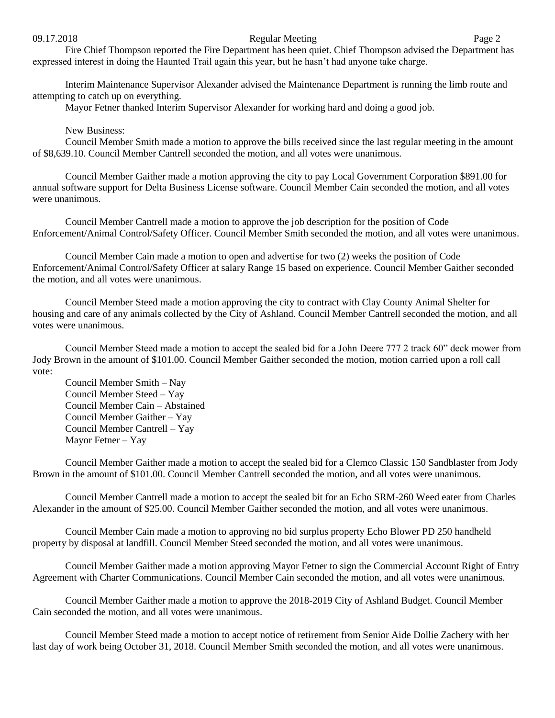#### 09.17.2018 Page 2

Fire Chief Thompson reported the Fire Department has been quiet. Chief Thompson advised the Department has expressed interest in doing the Haunted Trail again this year, but he hasn't had anyone take charge.

Interim Maintenance Supervisor Alexander advised the Maintenance Department is running the limb route and attempting to catch up on everything.

Mayor Fetner thanked Interim Supervisor Alexander for working hard and doing a good job.

## New Business:

Council Member Smith made a motion to approve the bills received since the last regular meeting in the amount of \$8,639.10. Council Member Cantrell seconded the motion, and all votes were unanimous.

Council Member Gaither made a motion approving the city to pay Local Government Corporation \$891.00 for annual software support for Delta Business License software. Council Member Cain seconded the motion, and all votes were unanimous.

Council Member Cantrell made a motion to approve the job description for the position of Code Enforcement/Animal Control/Safety Officer. Council Member Smith seconded the motion, and all votes were unanimous.

Council Member Cain made a motion to open and advertise for two (2) weeks the position of Code Enforcement/Animal Control/Safety Officer at salary Range 15 based on experience. Council Member Gaither seconded the motion, and all votes were unanimous.

Council Member Steed made a motion approving the city to contract with Clay County Animal Shelter for housing and care of any animals collected by the City of Ashland. Council Member Cantrell seconded the motion, and all votes were unanimous.

Council Member Steed made a motion to accept the sealed bid for a John Deere 777 2 track 60" deck mower from Jody Brown in the amount of \$101.00. Council Member Gaither seconded the motion, motion carried upon a roll call vote:

Council Member Smith – Nay Council Member Steed – Yay Council Member Cain – Abstained Council Member Gaither – Yay Council Member Cantrell – Yay Mayor Fetner – Yay

Council Member Gaither made a motion to accept the sealed bid for a Clemco Classic 150 Sandblaster from Jody Brown in the amount of \$101.00. Council Member Cantrell seconded the motion, and all votes were unanimous.

Council Member Cantrell made a motion to accept the sealed bit for an Echo SRM-260 Weed eater from Charles Alexander in the amount of \$25.00. Council Member Gaither seconded the motion, and all votes were unanimous.

Council Member Cain made a motion to approving no bid surplus property Echo Blower PD 250 handheld property by disposal at landfill. Council Member Steed seconded the motion, and all votes were unanimous.

Council Member Gaither made a motion approving Mayor Fetner to sign the Commercial Account Right of Entry Agreement with Charter Communications. Council Member Cain seconded the motion, and all votes were unanimous.

Council Member Gaither made a motion to approve the 2018-2019 City of Ashland Budget. Council Member Cain seconded the motion, and all votes were unanimous.

Council Member Steed made a motion to accept notice of retirement from Senior Aide Dollie Zachery with her last day of work being October 31, 2018. Council Member Smith seconded the motion, and all votes were unanimous.